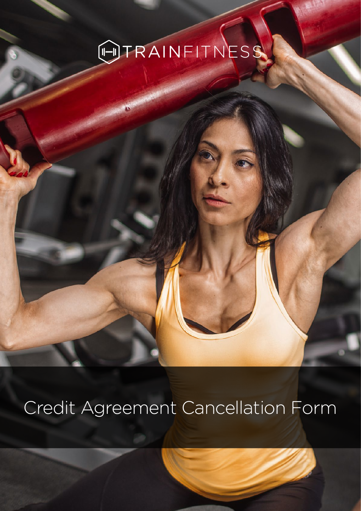## OTRAINFITNESS

TRAINFILE STATES

## Credit Agreement Cancellation Form